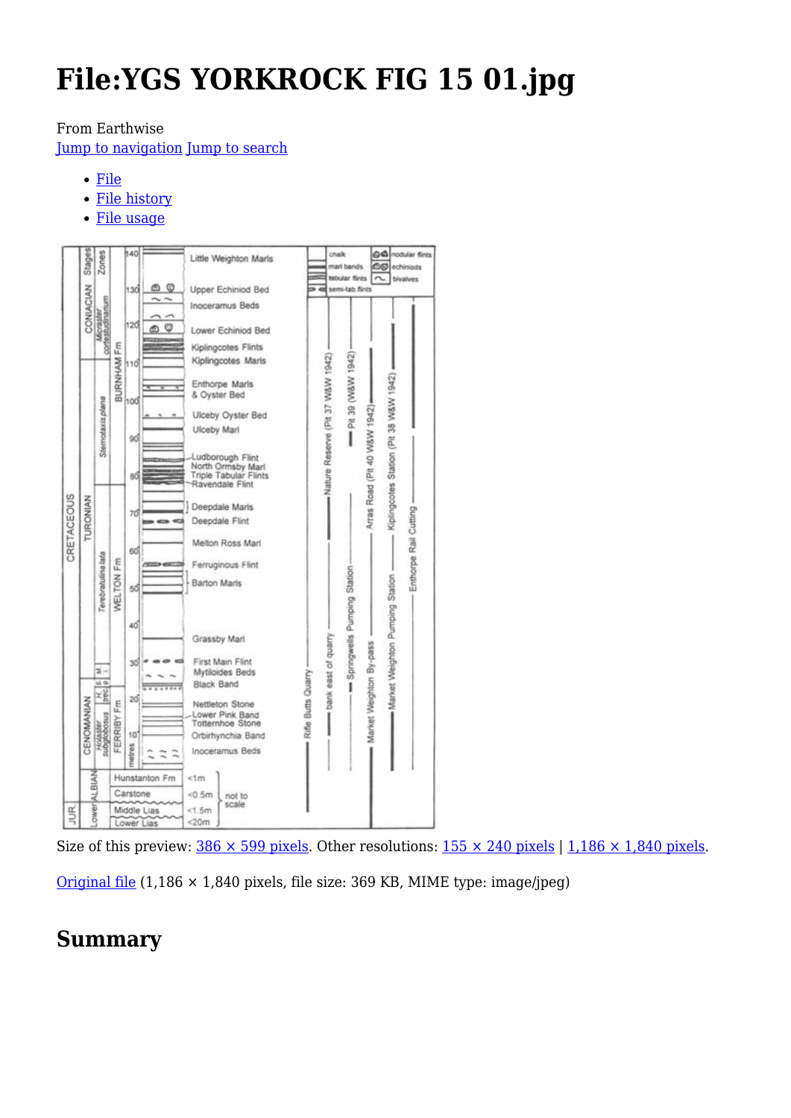# **File:YGS YORKROCK FIG 15 01.jpg**

#### From Earthwise

[Jump to navigation](#page--1-0) [Jump to search](#page--1-0)

- [File](#page--1-0)
- [File history](#page--1-0)
- [File usage](#page--1-0)



Size of this preview:  $386 \times 599$  pixels. Other resolutions:  $155 \times 240$  pixels | 1,186  $\times$  1,840 pixels.

[Original file](http://earthwise.bgs.ac.uk/images/b/b3/YGS_YORKROCK_FIG_15_01.jpg) (1,186 × 1,840 pixels, file size: 369 KB, MIME type: image/jpeg)

# **Summary**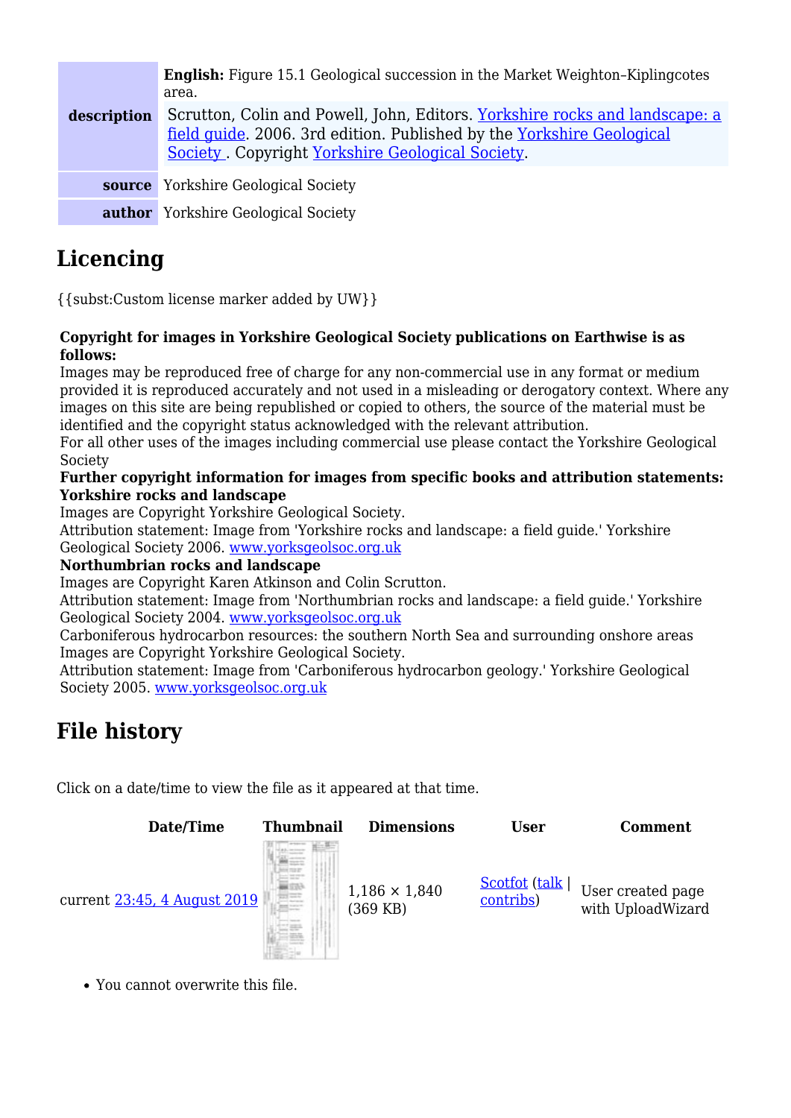| description | <b>English:</b> Figure 15.1 Geological succession in the Market Weighton-Kiplingcotes<br>area.<br>Scrutton, Colin and Powell, John, Editors. Yorkshire rocks and landscape: a<br>field quide. 2006. 3rd edition. Published by the Yorkshire Geological<br>Society. Copyright Yorkshire Geological Society. |
|-------------|------------------------------------------------------------------------------------------------------------------------------------------------------------------------------------------------------------------------------------------------------------------------------------------------------------|
|             | <b>source</b> Yorkshire Geological Society                                                                                                                                                                                                                                                                 |
|             | <b>author</b> Yorkshire Geological Society                                                                                                                                                                                                                                                                 |

# **Licencing**

{{subst:Custom license marker added by UW}}

#### **Copyright for images in Yorkshire Geological Society publications on Earthwise is as follows:**

Images may be reproduced free of charge for any non-commercial use in any format or medium provided it is reproduced accurately and not used in a misleading or derogatory context. Where any images on this site are being republished or copied to others, the source of the material must be identified and the copyright status acknowledged with the relevant attribution.

For all other uses of the images including commercial use please contact the Yorkshire Geological Society

#### **Further copyright information for images from specific books and attribution statements: Yorkshire rocks and landscape**

Images are Copyright Yorkshire Geological Society.

Attribution statement: Image from 'Yorkshire rocks and landscape: a field guide.' Yorkshire Geological Society 2006. [www.yorksgeolsoc.org.uk](http://www.yorksgeolsoc.org.uk)

#### **Northumbrian rocks and landscape**

Images are Copyright Karen Atkinson and Colin Scrutton.

Attribution statement: Image from 'Northumbrian rocks and landscape: a field guide.' Yorkshire Geological Society 2004. [www.yorksgeolsoc.org.uk](http://www.yorksgeolsoc.org.uk)

Carboniferous hydrocarbon resources: the southern North Sea and surrounding onshore areas Images are Copyright Yorkshire Geological Society.

Attribution statement: Image from 'Carboniferous hydrocarbon geology.' Yorkshire Geological Society 2005. [www.yorksgeolsoc.org.uk](http://www.yorksgeolsoc.org.uk)

# **File history**

Click on a date/time to view the file as it appeared at that time.



You cannot overwrite this file.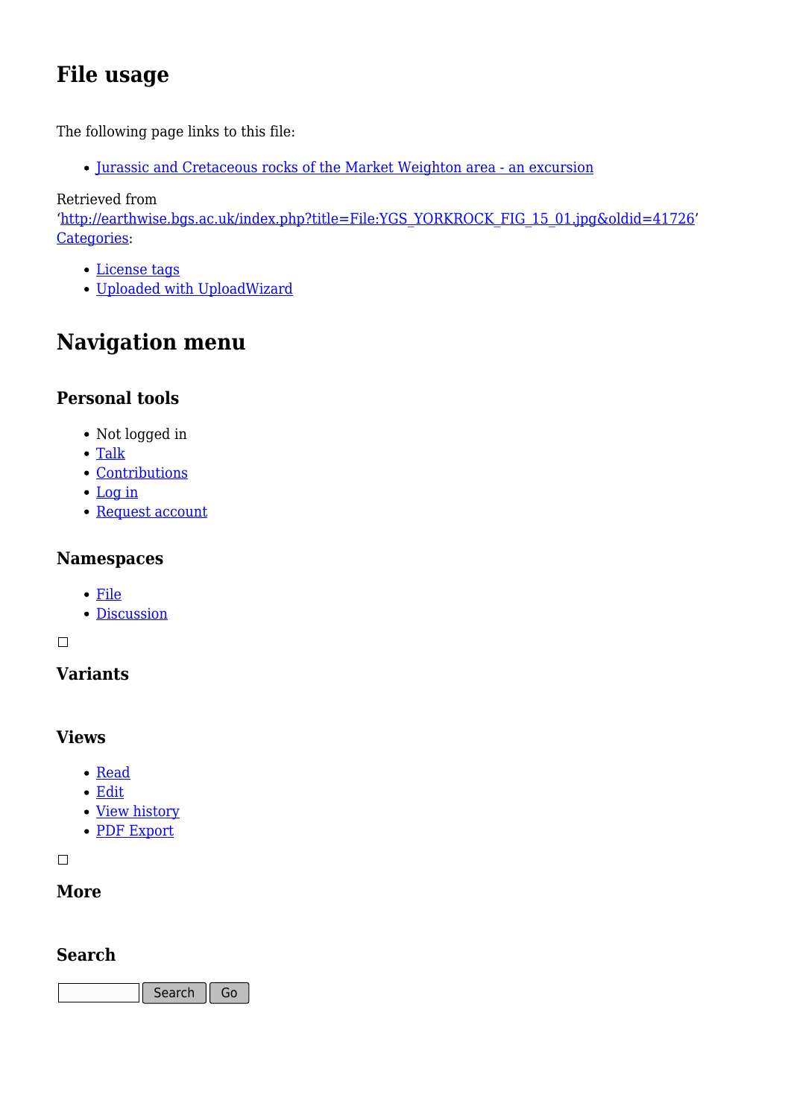# **File usage**

The following page links to this file:

[Jurassic and Cretaceous rocks of the Market Weighton area - an excursion](http://earthwise.bgs.ac.uk/index.php/Jurassic_and_Cretaceous_rocks_of_the_Market_Weighton_area_-_an_excursion)

Retrieved from

'[http://earthwise.bgs.ac.uk/index.php?title=File:YGS\\_YORKROCK\\_FIG\\_15\\_01.jpg&oldid=41726'](http://earthwise.bgs.ac.uk/index.php?title=File:YGS_YORKROCK_FIG_15_01.jpg&oldid=41726) [Categories:](http://earthwise.bgs.ac.uk/index.php/Special:Categories)

- [License tags](http://earthwise.bgs.ac.uk/index.php/Category:License_tags)
- [Uploaded with UploadWizard](http://earthwise.bgs.ac.uk/index.php/Category:Uploaded_with_UploadWizard)

# **Navigation menu**

### **Personal tools**

- Not logged in
- [Talk](http://earthwise.bgs.ac.uk/index.php/Special:MyTalk)
- [Contributions](http://earthwise.bgs.ac.uk/index.php/Special:MyContributions)
- [Log in](http://earthwise.bgs.ac.uk/index.php?title=Special:UserLogin&returnto=File%3AYGS+YORKROCK+FIG+15+01.jpg&returntoquery=action%3Dmpdf)
- [Request account](http://earthwise.bgs.ac.uk/index.php/Special:RequestAccount)

### **Namespaces**

- [File](http://earthwise.bgs.ac.uk/index.php/File:YGS_YORKROCK_FIG_15_01.jpg)
- [Discussion](http://earthwise.bgs.ac.uk/index.php?title=File_talk:YGS_YORKROCK_FIG_15_01.jpg&action=edit&redlink=1)

#### $\overline{\phantom{a}}$

## **Variants**

### **Views**

- [Read](http://earthwise.bgs.ac.uk/index.php/File:YGS_YORKROCK_FIG_15_01.jpg)
- [Edit](http://earthwise.bgs.ac.uk/index.php?title=File:YGS_YORKROCK_FIG_15_01.jpg&action=edit)
- [View history](http://earthwise.bgs.ac.uk/index.php?title=File:YGS_YORKROCK_FIG_15_01.jpg&action=history)
- [PDF Export](http://earthwise.bgs.ac.uk/index.php?title=File:YGS_YORKROCK_FIG_15_01.jpg&action=mpdf)

 $\Box$ 

### **More**

### **Search**

Search  $\|$  Go